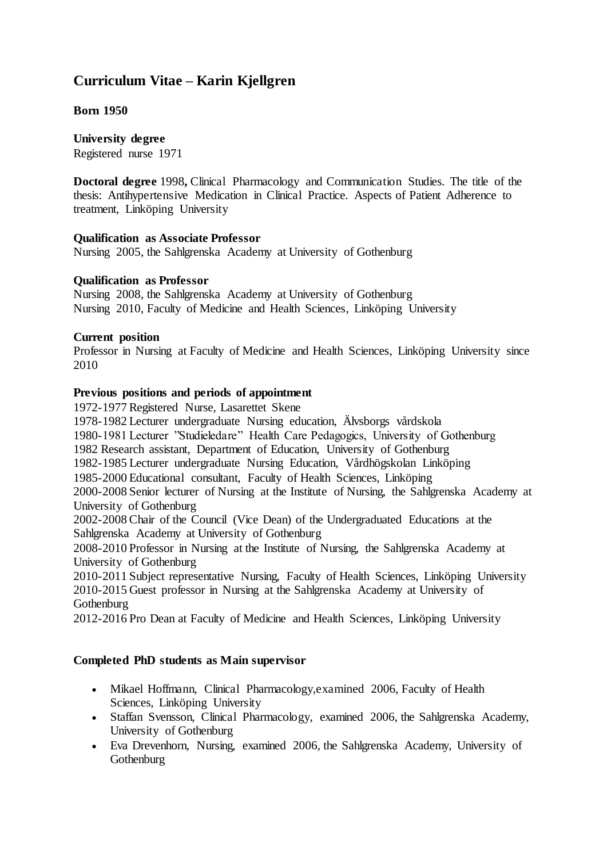# **Curriculum Vitae – Karin Kjellgren**

# **Born 1950**

**University degree** Registered nurse 1971

**Doctoral degree** 1998**,** Clinical Pharmacology and Communication Studies. The title of the thesis: Antihypertensive Medication in Clinical Practice. Aspects of Patient Adherence to treatment, Linköping University

# **Qualification as Associate Professor**

Nursing 2005, the Sahlgrenska Academy at University of Gothenburg

#### **Qualification as Professor**

Nursing 2008, the Sahlgrenska Academy at University of Gothenburg Nursing 2010, Faculty of Medicine and Health Sciences, Linköping University

# **Current position**

Professor in Nursing at Faculty of Medicine and Health Sciences, Linköping University since 2010

#### **Previous positions and periods of appointment**

1972-1977 Registered Nurse, Lasarettet Skene

1978-1982 Lecturer undergraduate Nursing education, Älvsborgs vårdskola

1980-1981 Lecturer "Studieledare" Health Care Pedagogics, University of Gothenburg

1982 Research assistant, Department of Education, University of Gothenburg

1982-1985 Lecturer undergraduate Nursing Education, Vårdhögskolan Linköping

1985-2000 Educational consultant, Faculty of Health Sciences, Linköping

2000-2008 Senior lecturer of Nursing at the Institute of Nursing, the Sahlgrenska Academy at University of Gothenburg

2002-2008 Chair of the Council (Vice Dean) of the Undergraduated Educations at the Sahlgrenska Academy at University of Gothenburg

2008-2010 Professor in Nursing at the Institute of Nursing, the Sahlgrenska Academy at University of Gothenburg

2010-2011 Subject representative Nursing, Faculty of Health Sciences, Linköping University 2010-2015 Guest professor in Nursing at the Sahlgrenska Academy at University of **Gothenburg** 

2012-2016 Pro Dean at Faculty of Medicine and Health Sciences, Linköping University

# **Completed PhD students as Main supervisor**

- Mikael Hoffmann, Clinical Pharmacology, examined 2006, Faculty of Health Sciences, Linköping University
- Staffan Svensson, Clinical Pharmacology, examined 2006, the Sahlgrenska Academy, University of Gothenburg
- Eva Drevenhorn, Nursing, examined 2006, the Sahlgrenska Academy, University of **Gothenburg**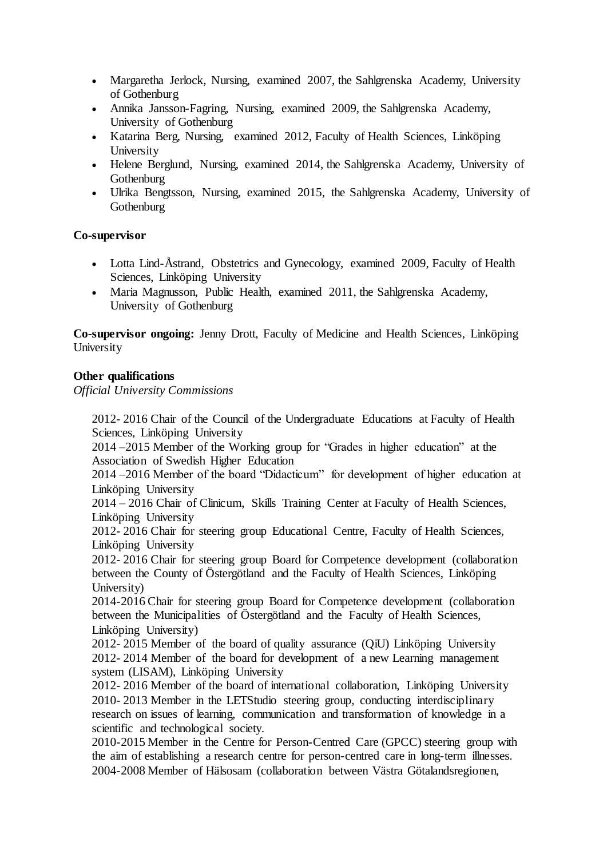- Margaretha Jerlock, Nursing, examined 2007, the Sahlgrenska Academy, University of Gothenburg
- Annika Jansson-Fagring, Nursing, examined 2009, the Sahlgrenska Academy, University of Gothenburg
- Katarina Berg, Nursing, examined 2012, Faculty of Health Sciences, Linköping University
- Helene Berglund, Nursing, examined 2014, the Sahlgrenska Academy, University of **Gothenburg**
- Ulrika Bengtsson, Nursing, examined 2015, the Sahlgrenska Academy, University of **Gothenburg**

#### **Co-supervisor**

- Lotta Lind-Åstrand, Obstetrics and Gynecology, examined 2009, Faculty of Health Sciences, Linköping University
- Maria Magnusson, Public Health, examined 2011, the Sahlgrenska Academy, University of Gothenburg

**Co-supervisor ongoing:** Jenny Drott, Faculty of Medicine and Health Sciences, Linköping University

#### **Other qualifications**

*Official University Commissions*

2012- 2016 Chair of the Council of the Undergraduate Educations at Faculty of Health Sciences, Linköping University

2014 –2015 Member of the Working group for "Grades in higher education" at the Association of Swedish Higher Education

2014 –2016 Member of the board "Didacticum" for development of higher education at Linköping University

2014 – 2016 Chair of Clinicum, Skills Training Center at Faculty of Health Sciences, Linköping University

2012- 2016 Chair for steering group Educational Centre, Faculty of Health Sciences, Linköping University

2012- 2016 Chair for steering group Board for Competence development (collaboration between the County of Östergötland and the Faculty of Health Sciences, Linköping University)

2014-2016 Chair for steering group Board for Competence development (collaboration between the Municipalities of Östergötland and the Faculty of Health Sciences, Linköping University)

2012- 2015 Member of the board of quality assurance (QiU) Linköping University 2012- 2014 Member of the board for development of a new Learning management system (LISAM), Linköping University

2012- 2016 Member of the board of international collaboration, Linköping University 2010- 2013 Member in the LETStudio steering group, conducting interdisciplinary research on issues of learning, communication and transformation of knowledge in a scientific and technological society.

2010-2015 Member in the Centre for Person-Centred Care (GPCC) steering group with the aim of establishing a research centre for person-centred care in long-term illnesses. 2004-2008 Member of Hälsosam (collaboration between Västra Götalandsregionen,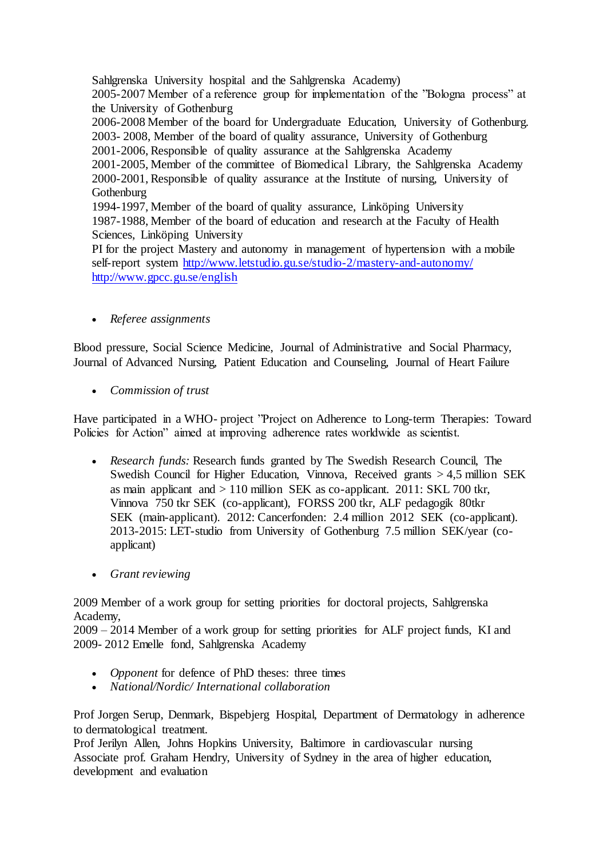Sahlgrenska University hospital and the Sahlgrenska Academy) 2005-2007 Member of a reference group for implementation of the "Bologna process" at the University of Gothenburg 2006-2008 Member of the board for Undergraduate Education, University of Gothenburg. 2003- 2008, Member of the board of quality assurance, University of Gothenburg 2001-2006, Responsible of quality assurance at the Sahlgrenska Academy 2001-2005, Member of the committee of Biomedical Library, the Sahlgrenska Academy 2000-2001, Responsible of quality assurance at the Institute of nursing, University of **Gothenburg** 1994-1997, Member of the board of quality assurance, Linköping University 1987-1988, Member of the board of education and research at the Faculty of Health Sciences, Linköping University PI for the project Mastery and autonomy in management of hypertension with a mobile self-report system<http://www.letstudio.gu.se/studio-2/mastery-and-autonomy/> <http://www.gpcc.gu.se/english>

*Referee assignments*

Blood pressure, Social Science Medicine, Journal of Administrative and Social Pharmacy, Journal of Advanced Nursing, Patient Education and Counseling, Journal of Heart Failure

*Commission of trust*

Have participated in a WHO- project "Project on Adherence to Long-term Therapies: Toward Policies for Action" aimed at improving adherence rates worldwide as scientist.

- *Research funds:* Research funds granted by The Swedish Research Council, The Swedish Council for Higher Education, Vinnova, Received grants > 4,5 million SEK as main applicant and > 110 million SEK as co-applicant. 2011: SKL 700 tkr, Vinnova 750 tkr SEK (co-applicant), FORSS 200 tkr, ALF pedagogik 80tkr SEK (main-applicant). 2012: Cancerfonden: 2.4 million 2012 SEK (co-applicant). 2013-2015: LET-studio from University of Gothenburg 7.5 million SEK/year (coapplicant)
- *Grant reviewing*

2009 Member of a work group for setting priorities for doctoral projects, Sahlgrenska Academy,

2009 – 2014 Member of a work group for setting priorities for ALF project funds, KI and 2009- 2012 Emelle fond, Sahlgrenska Academy

- *Opponent* for defence of PhD theses: three times
- *National/Nordic/ International collaboration*

Prof Jorgen Serup, Denmark, Bispebjerg Hospital, Department of Dermatology in adherence to dermatological treatment.

Prof Jerilyn Allen, Johns Hopkins University, Baltimore in cardiovascular nursing Associate prof. Graham Hendry, University of Sydney in the area of higher education, development and evaluation